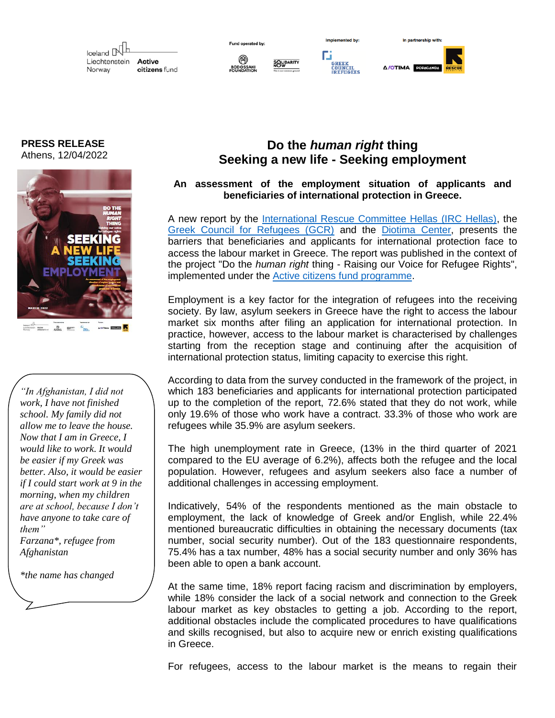Iceland N Liechtenstein **Active** citizens fund Norway

Гä

In nartnershin with

Δ/ΟΤΙΜΑ ΡΟΡΔΟΔΝ

**PRESS RELEASE** Athens, 12/04/2022



*"In Afghanistan, I did not work, I have not finished school. My family did not allow me to leave the house. Now that I am in Greece, I would like to work. It would be easier if my Greek was better. Also, it would be easier if I could start work at 9 in the morning, when my children are at school, because I don't have anyone to take care of them"*

*Farzana\*, refugee from Afghanistan*

*\*the name has changed*

## **Do the** *human right* **thing Seeking a new life - Seeking employment**

## **An assessment of the employment situation of applicants and beneficiaries of international protection in Greece.**

A new report by the *International Rescue Committee Hellas (IRC Hellas)*, the [Greek Council for Refugees \(GCR\)](https://www.gcr.gr/en/our-work/who-we-are) and the [Diotima Center,](https://diotima.org.gr/en/) presents the barriers that beneficiaries and applicants for international protection face to access the labour market in Greece. The report was published in the context of the project "Do the *human right* thing - Raising our Voice for Refugee Rights", implemented under the [Active citizens fund programme.](https://www.activecitizensfund.gr/ergo/do-the-human-right-thing-ypsonoyme-ti-foni-mas-gia-ta-dikaiomata-ton-prosfygon/)

Employment is a key factor for the integration of refugees into the receiving society. By law, asylum seekers in Greece have the right to access the labour market six months after filing an application for international protection. In practice, however, access to the labour market is characterised by challenges starting from the reception stage and continuing after the acquisition of international protection status, limiting capacity to exercise this right.

According to data from the survey conducted in the framework of the project, in which 183 beneficiaries and applicants for international protection participated up to the completion of the report, 72.6% stated that they do not work, while only 19.6% of those who work have a contract. 33.3% of those who work are refugees while 35.9% are asylum seekers.

The high unemployment rate in Greece, (13% in the third quarter of 2021 compared to the EU average of 6.2%), affects both the refugee and the local population. However, refugees and asylum seekers also face a number of additional challenges in accessing employment.

Indicatively, 54% of the respondents mentioned as the main obstacle to employment, the lack of knowledge of Greek and/or English, while 22.4% mentioned bureaucratic difficulties in obtaining the necessary documents (tax number, social security number). Out of the 183 questionnaire respondents, 75.4% has a tax number, 48% has a social security number and only 36% has been able to open a bank account.

At the same time, 18% report facing racism and discrimination by employers, while 18% consider the lack of a social network and connection to the Greek labour market as key obstacles to getting a job. According to the report, additional obstacles include the complicated procedures to have qualifications and skills recognised, but also to acquire new or enrich existing qualifications in Greece.

For refugees, access to the labour market is the means to regain their